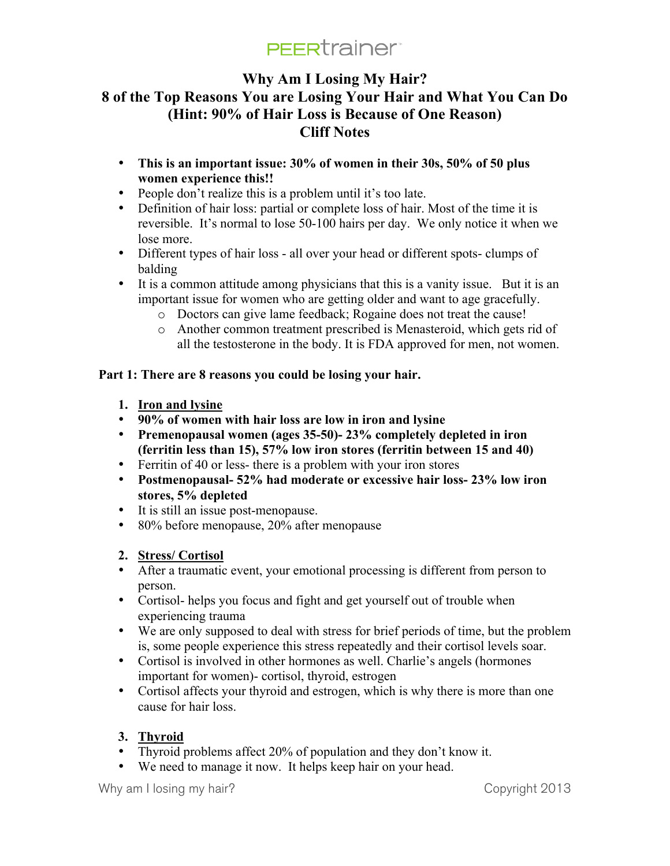# **Why Am I Losing My Hair? 8 of the Top Reasons You are Losing Your Hair and What You Can Do (Hint: 90% of Hair Loss is Because of One Reason) Cliff Notes**

- **This is an important issue: 30% of women in their 30s, 50% of 50 plus women experience this!!**
- People don't realize this is a problem until it's too late.
- Definition of hair loss: partial or complete loss of hair. Most of the time it is reversible. It's normal to lose 50-100 hairs per day. We only notice it when we lose more.
- Different types of hair loss all over your head or different spots- clumps of balding
- It is a common attitude among physicians that this is a vanity issue. But it is an important issue for women who are getting older and want to age gracefully.
	- o Doctors can give lame feedback; Rogaine does not treat the cause!
	- o Another common treatment prescribed is Menasteroid, which gets rid of all the testosterone in the body. It is FDA approved for men, not women.

## **Part 1: There are 8 reasons you could be losing your hair.**

- **1. Iron and lysine**
- **90% of women with hair loss are low in iron and lysine**
- **Premenopausal women (ages 35-50)- 23% completely depleted in iron (ferritin less than 15), 57% low iron stores (ferritin between 15 and 40)**
- Ferritin of 40 or less- there is a problem with your iron stores
- **Postmenopausal- 52% had moderate or excessive hair loss- 23% low iron stores, 5% depleted**
- It is still an issue post-menopause.
- 80% before menopause, 20% after menopause

## **2. Stress/ Cortisol**

- After a traumatic event, your emotional processing is different from person to person.
- Cortisol- helps you focus and fight and get yourself out of trouble when experiencing trauma
- We are only supposed to deal with stress for brief periods of time, but the problem is, some people experience this stress repeatedly and their cortisol levels soar.
- Cortisol is involved in other hormones as well. Charlie's angels (hormones important for women)- cortisol, thyroid, estrogen
- Cortisol affects your thyroid and estrogen, which is why there is more than one cause for hair loss.

## **3. Thyroid**

- Thyroid problems affect 20% of population and they don't know it.
- We need to manage it now. It helps keep hair on your head.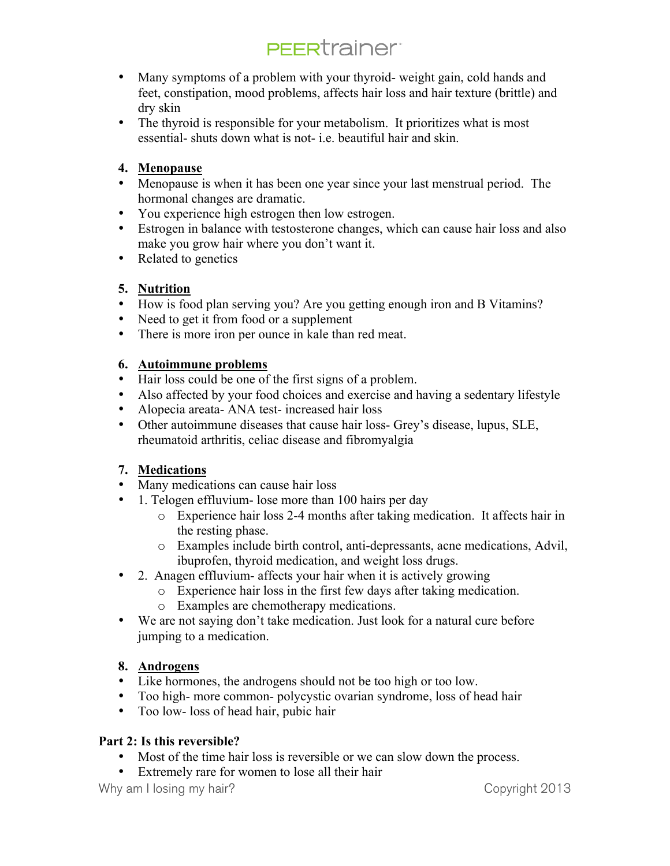- Many symptoms of a problem with your thyroid- weight gain, cold hands and feet, constipation, mood problems, affects hair loss and hair texture (brittle) and dry skin
- The thyroid is responsible for your metabolism. It prioritizes what is most essential- shuts down what is not- i.e. beautiful hair and skin.

### **4. Menopause**

- Menopause is when it has been one year since your last menstrual period. The hormonal changes are dramatic.
- You experience high estrogen then low estrogen.
- Estrogen in balance with testosterone changes, which can cause hair loss and also make you grow hair where you don't want it.
- Related to genetics

### **5. Nutrition**

- How is food plan serving you? Are you getting enough iron and B Vitamins?
- Need to get it from food or a supplement
- There is more iron per ounce in kale than red meat.

### **6. Autoimmune problems**

- Hair loss could be one of the first signs of a problem.
- Also affected by your food choices and exercise and having a sedentary lifestyle
- Alopecia areata- ANA test- increased hair loss
- Other autoimmune diseases that cause hair loss- Grey's disease, lupus, SLE, rheumatoid arthritis, celiac disease and fibromyalgia

## **7. Medications**

- Many medications can cause hair loss
- 1. Telogen effluvium- lose more than 100 hairs per day
	- o Experience hair loss 2-4 months after taking medication. It affects hair in the resting phase.
	- o Examples include birth control, anti-depressants, acne medications, Advil, ibuprofen, thyroid medication, and weight loss drugs.
- 2. Anagen effluvium- affects your hair when it is actively growing
	- o Experience hair loss in the first few days after taking medication.
		- o Examples are chemotherapy medications.
- We are not saying don't take medication. Just look for a natural cure before jumping to a medication.

## **8. Androgens**

- Like hormones, the androgens should not be too high or too low.
- Too high- more common- polycystic ovarian syndrome, loss of head hair
- Too low- loss of head hair, pubic hair

### **Part 2: Is this reversible?**

- Most of the time hair loss is reversible or we can slow down the process.
- Extremely rare for women to lose all their hair

Why am I losing my hair? Copyright 2013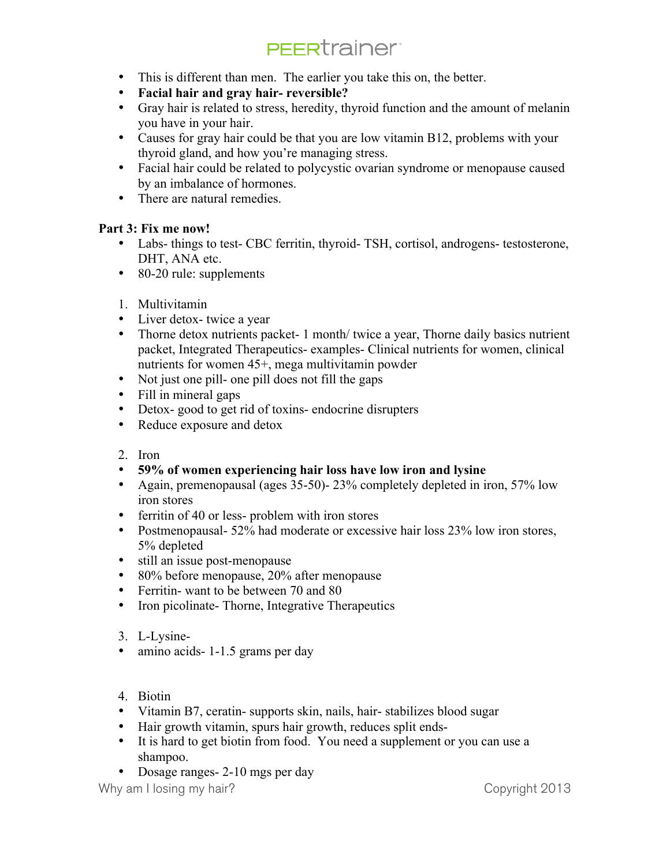- This is different than men. The earlier you take this on, the better.
- **Facial hair and gray hair- reversible?**
- Gray hair is related to stress, heredity, thyroid function and the amount of melanin you have in your hair.
- Causes for gray hair could be that you are low vitamin B12, problems with your thyroid gland, and how you're managing stress.
- Facial hair could be related to polycystic ovarian syndrome or menopause caused by an imbalance of hormones.
- There are natural remedies.

### **Part 3: Fix me now!**

- Labs- things to test- CBC ferritin, thyroid- TSH, cortisol, androgens- testosterone, DHT, ANA etc.
- 80-20 rule: supplements
- 1. Multivitamin
- Liver detox- twice a year
- Thorne detox nutrients packet- 1 month/ twice a year, Thorne daily basics nutrient packet, Integrated Therapeutics- examples- Clinical nutrients for women, clinical nutrients for women 45+, mega multivitamin powder
- Not just one pill- one pill does not fill the gaps
- Fill in mineral gaps
- Detox- good to get rid of toxins- endocrine disrupters
- Reduce exposure and detox
- 2. Iron
- **59% of women experiencing hair loss have low iron and lysine**
- Again, premenopausal (ages 35-50)- 23% completely depleted in iron, 57% low iron stores
- ferritin of 40 or less- problem with iron stores
- Postmenopausal- 52% had moderate or excessive hair loss 23% low iron stores, 5% depleted
- still an issue post-menopause
- 80% before menopause, 20% after menopause
- Ferritin- want to be between 70 and 80
- Iron picolinate- Thorne, Integrative Therapeutics
- 3. L-Lysine-
- amino acids 1 1.5 grams per day
- 4. Biotin
- Vitamin B7, ceratin- supports skin, nails, hair- stabilizes blood sugar
- Hair growth vitamin, spurs hair growth, reduces split ends-
- It is hard to get biotin from food. You need a supplement or you can use a shampoo.
- Dosage ranges 2-10 mgs per day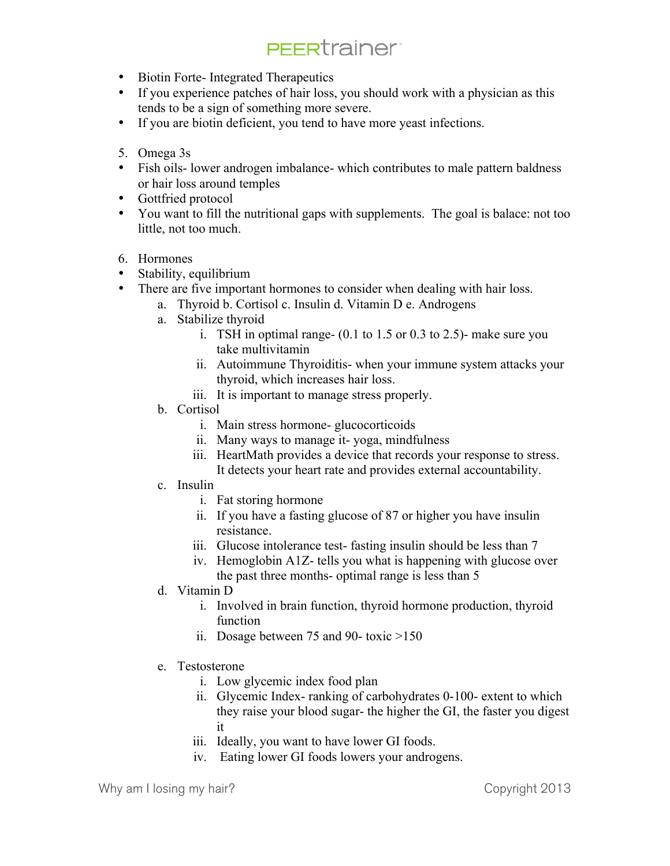- Biotin Forte- Integrated Therapeutics
- If you experience patches of hair loss, you should work with a physician as this tends to be a sign of something more severe.
- If you are biotin deficient, you tend to have more yeast infections.
- 5. Omega 3s
- Fish oils- lower androgen imbalance- which contributes to male pattern baldness or hair loss around temples
- Gottfried protocol
- You want to fill the nutritional gaps with supplements. The goal is balace: not too little, not too much.
- 6. Hormones
- Stability, equilibrium
- There are five important hormones to consider when dealing with hair loss.
	- a. Thyroid b. Cortisol c. Insulin d. Vitamin D e. Androgens
	- a. Stabilize thyroid
		- i. TSH in optimal range- (0.1 to 1.5 or 0.3 to 2.5)- make sure you take multivitamin
		- ii. Autoimmune Thyroiditis- when your immune system attacks your thyroid, which increases hair loss.
		- iii. It is important to manage stress properly.
	- b. Cortisol
		- i. Main stress hormone- glucocorticoids
		- ii. Many ways to manage it- yoga, mindfulness
		- iii. HeartMath provides a device that records your response to stress. It detects your heart rate and provides external accountability.
	- c. Insulin
		- i. Fat storing hormone
		- ii. If you have a fasting glucose of 87 or higher you have insulin resistance.
		- iii. Glucose intolerance test- fasting insulin should be less than 7
		- iv. Hemoglobin A1Z- tells you what is happening with glucose over the past three months- optimal range is less than 5
	- d. Vitamin D
		- i. Involved in brain function, thyroid hormone production, thyroid function
		- ii. Dosage between 75 and 90- toxic >150
	- e. Testosterone
		- i. Low glycemic index food plan
		- ii. Glycemic Index- ranking of carbohydrates 0-100- extent to which they raise your blood sugar- the higher the GI, the faster you digest it
		- iii. Ideally, you want to have lower GI foods.
		- iv. Eating lower GI foods lowers your androgens.